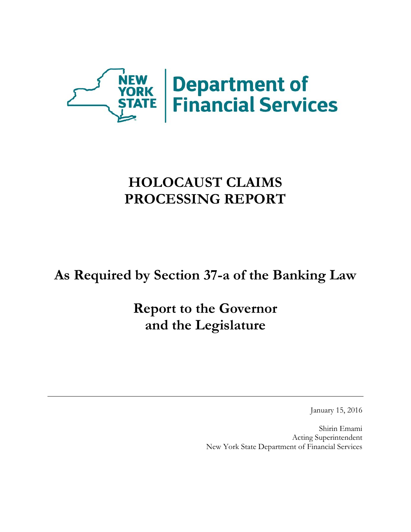

# **HOLOCAUST CLAIMS PROCESSING REPORT**

**As Required by Section 37-a of the Banking Law** 

**Report to the Governor and the Legislature** 

January 15, 2016

Shirin Emami Acting Superintendent New York State Department of Financial Services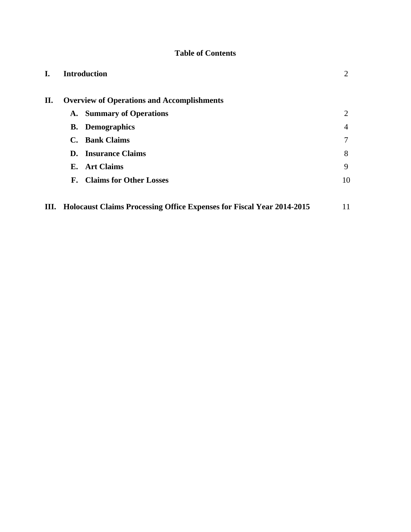# **Table of Contents**

| L. | <b>Introduction</b>                                                          | 2  |
|----|------------------------------------------------------------------------------|----|
| П. | <b>Overview of Operations and Accomplishments</b>                            |    |
|    | A. Summary of Operations                                                     | 2  |
|    | <b>B.</b> Demographics                                                       | 4  |
|    | C. Bank Claims                                                               | 7  |
|    | <b>D.</b> Insurance Claims                                                   | 8  |
|    | E. Art Claims                                                                | 9  |
|    | <b>F.</b> Claims for Other Losses                                            | 10 |
|    |                                                                              |    |
| Ш. | <b>Holocaust Claims Processing Office Expenses for Fiscal Year 2014-2015</b> | 11 |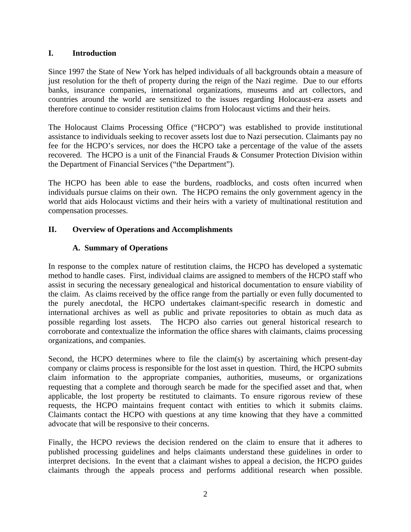### <span id="page-2-0"></span>**I. Introduction**

Since 1997 the State of New York has helped individuals of all backgrounds obtain a measure of just resolution for the theft of property during the reign of the Nazi regime. Due to our efforts banks, insurance companies, international organizations, museums and art collectors, and countries around the world are sensitized to the issues regarding Holocaust-era assets and therefore continue to consider restitution claims from Holocaust victims and their heirs.

The Holocaust Claims Processing Office ("HCPO") was established to provide institutional assistance to individuals seeking to recover assets lost due to Nazi persecution. Claimants pay no fee for the HCPO's services, nor does the HCPO take a percentage of the value of the assets recovered. The HCPO is a unit of the Financial Frauds & Consumer Protection Division within the Department of Financial Services ("the Department").

The HCPO has been able to ease the burdens, roadblocks, and costs often incurred when individuals pursue claims on their own. The HCPO remains the only government agency in the world that aids Holocaust victims and their heirs with a variety of multinational restitution and compensation processes.

## **II. Overview of Operations and Accomplishments**

## **A. Summary of Operations**

In response to the complex nature of restitution claims, the HCPO has developed a systematic method to handle cases. First, individual claims are assigned to members of the HCPO staff who assist in securing the necessary genealogical and historical documentation to ensure viability of the claim. As claims received by the office range from the partially or even fully documented to the purely anecdotal, the HCPO undertakes claimant-specific research in domestic and international archives as well as public and private repositories to obtain as much data as possible regarding lost assets. The HCPO also carries out general historical research to corroborate and contextualize the information the office shares with claimants, claims processing organizations, and companies.

 requests, the HCPO maintains frequent contact with entities to which it submits claims. Claimants contact the HCPO with questions at any time knowing that they have a committed Second, the HCPO determines where to file the claim(s) by ascertaining which present-day company or claims process is responsible for the lost asset in question. Third, the HCPO submits claim information to the appropriate companies, authorities, museums, or organizations requesting that a complete and thorough search be made for the specified asset and that, when applicable, the lost property be restituted to claimants. To ensure rigorous review of these advocate that will be responsive to their concerns.

Finally, the HCPO reviews the decision rendered on the claim to ensure that it adheres to published processing guidelines and helps claimants understand these guidelines in order to interpret decisions. In the event that a claimant wishes to appeal a decision, the HCPO guides claimants through the appeals process and performs additional research when possible.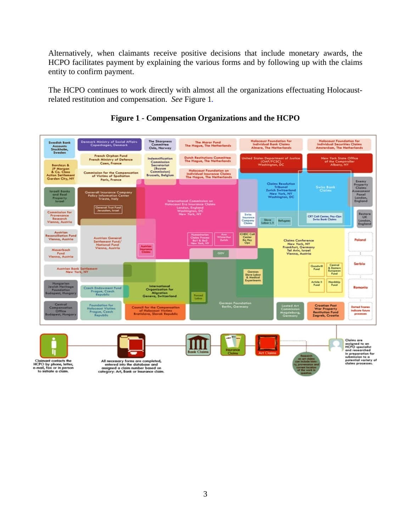Alternatively, when claimants receive positive decisions that include monetary awards, the HCPO facilitates payment by explaining the various forms and by following up with the claims entity to confirm payment.

The HCPO continues to work directly with almost all the organizations effectuating Holocaustrelated restitution and compensation. *See* Figure 1*.* 



# **Figure 1 - Compensation Organizations and the HCPO**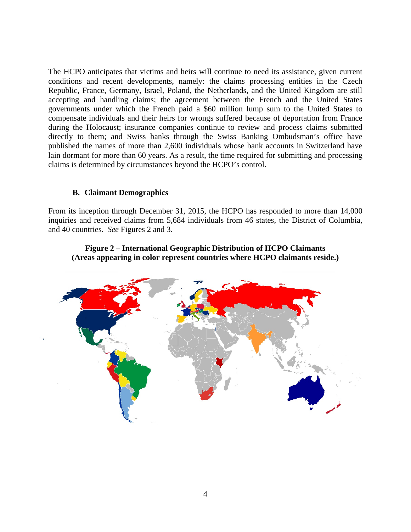<span id="page-4-0"></span>The HCPO anticipates that victims and heirs will continue to need its assistance, given current conditions and recent developments, namely: the claims processing entities in the Czech Republic, France, Germany, Israel, Poland, the Netherlands, and the United Kingdom are still accepting and handling claims; the agreement between the French and the United States governments under which the French paid a \$60 million lump sum to the United States to compensate individuals and their heirs for wrongs suffered because of deportation from France during the Holocaust; insurance companies continue to review and process claims submitted directly to them; and Swiss banks through the Swiss Banking Ombudsman's office have published the names of more than 2,600 individuals whose bank accounts in Switzerland have lain dormant for more than 60 years. As a result, the time required for submitting and processing claims is determined by circumstances beyond the HCPO's control.

#### **B. Claimant Demographics**

From its inception through December 31, 2015, the HCPO has responded to more than 14,000 inquiries and received claims from 5,684 individuals from 46 states, the District of Columbia, and 40 countries. *See* Figures 2 and 3.



#### **Figure 2 – International Geographic Distribution of HCPO Claimants (Areas appearing in color represent countries where HCPO claimants reside.)**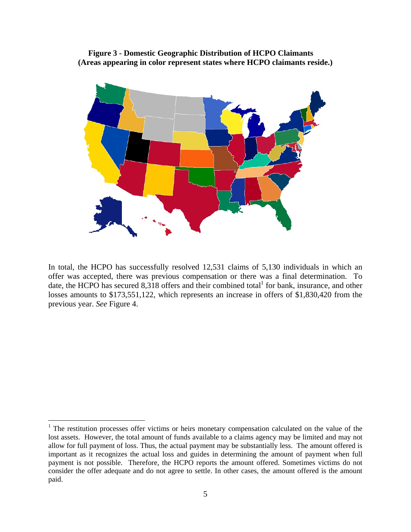**Figure 3 - Domestic Geographic Distribution of HCPO Claimants (Areas appearing in color represent states where HCPO claimants reside.)** 



In total, the HCPO has successfully resolved 12,531 claims of 5,130 individuals in which an offer was accepted, there was previous compensation or there was a final determination. To date, the HCPO has secured 8,318 offers and their combined total for bank, insurance, and other losses amounts to \$173,551,122, which represents an increase in offers of \$1,830,420 from the previous year. *See* Figure 4.

 $\overline{a}$ 

<sup>&</sup>lt;sup>1</sup> The restitution processes offer victims or heirs monetary compensation calculated on the value of the lost assets. However, the total amount of funds available to a claims agency may be limited and may not allow for full payment of loss. Thus, the actual payment may be substantially less. The amount offered is important as it recognizes the actual loss and guides in determining the amount of payment when full payment is not possible. Therefore, the HCPO reports the amount offered. Sometimes victims do not consider the offer adequate and do not agree to settle. In other cases, the amount offered is the amount paid.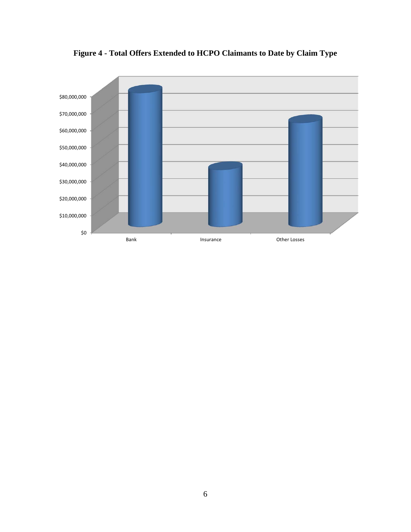

**Figure 4 - Total Offers Extended to HCPO Claimants to Date by Claim Type**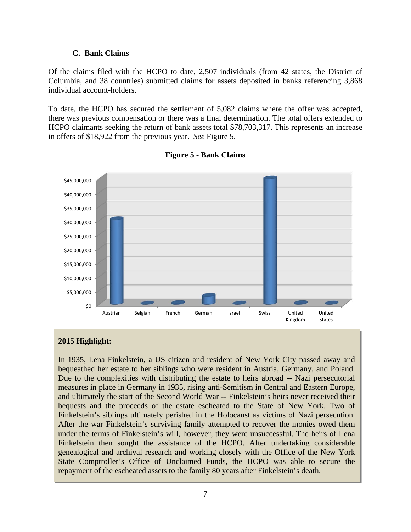#### **C. Bank Claims**

<span id="page-7-0"></span>Of the claims filed with the HCPO to date, 2,507 individuals (from 42 states, the District of Columbia, and 38 countries) submitted claims for assets deposited in banks referencing 3,868 individual account-holders.

To date, the HCPO has secured the settlement of 5,082 claims where the offer was accepted, there was previous compensation or there was a final determination. The total offers extended to HCPO claimants seeking the return of bank assets total \$78,703,317. This represents an increase in offers of \$18,922 from the previous year. *See* Figure 5.



## **Figure 5 - Bank Claims**

## **2015 Highlight:**

In 1935, Lena Finkelstein, a US citizen and resident of New York City passed away and bequeathed her estate to her siblings who were resident in Austria, Germany, and Poland. Due to the complexities with distributing the estate to heirs abroad -- Nazi persecutorial measures in place in Germany in 1935, rising anti-Semitism in Central and Eastern Europe, and ultimately the start of the Second World War -- Finkelstein's heirs never received their bequests and the proceeds of the estate escheated to the State of New York. Two of Finkelstein's siblings ultimately perished in the Holocaust as victims of Nazi persecution. After the war Finkelstein's surviving family attempted to recover the monies owed them under the terms of Finkelstein's will, however, they were unsuccessful. The heirs of Lena Finkelstein then sought the assistance of the HCPO. After undertaking considerable genealogical and archival research and working closely with the Office of the New York State Comptroller's Office of Unclaimed Funds, the HCPO was able to secure the repayment of the escheated assets to the family 80 years after Finkelstein's death.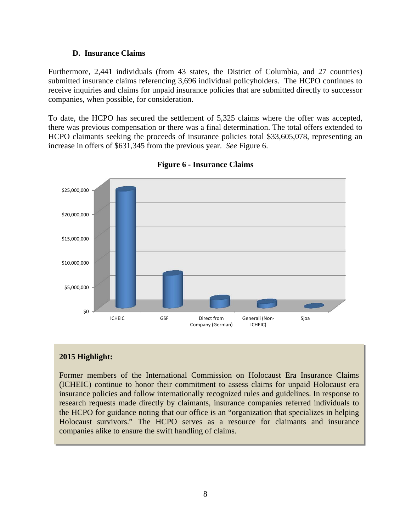#### **D. Insurance Claims**

<span id="page-8-0"></span>Furthermore, 2,441 individuals (from 43 states, the District of Columbia, and 27 countries) submitted insurance claims referencing 3,696 individual policyholders. The HCPO continues to receive inquiries and claims for unpaid insurance policies that are submitted directly to successor companies, when possible, for consideration.

To date, the HCPO has secured the settlement of 5,325 claims where the offer was accepted, there was previous compensation or there was a final determination. The total offers extended to HCPO claimants seeking the proceeds of insurance policies total \$33,605,078, representing an increase in offers of \$631,345 from the previous year. *See* Figure 6.



**Figure 6 - Insurance Claims** 

## **2015 Highlight:**

Former members of the International Commission on Holocaust Era Insurance Claims (ICHEIC) continue to honor their commitment to assess claims for unpaid Holocaust era insurance policies and follow internationally recognized rules and guidelines. In response to research requests made directly by claimants, insurance companies referred individuals to the HCPO for guidance noting that our office is an "organization that specializes in helping Holocaust survivors." The HCPO serves as a resource for claimants and insurance companies alike to ensure the swift handling of claims.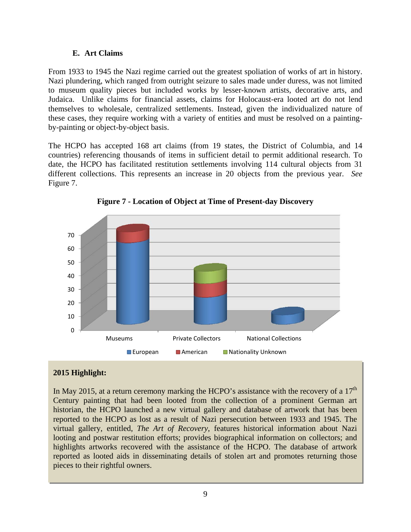### **E. Art Claims**

From 1933 to 1945 the Nazi regime carried out the greatest spoliation of works of art in history. Nazi plundering, which ranged from outright seizure to sales made under duress, was not limited to museum quality pieces but included works by lesser-known artists, decorative arts, and Judaica. Unlike claims for financial assets, claims for Holocaust-era looted art do not lend themselves to wholesale, centralized settlements. Instead, given the individualized nature of these cases, they require working with a variety of entities and must be resolved on a paintingby-painting or object-by-object basis.

 different collections. This represents an increase in 20 objects from the previous year. *See*  The HCPO has accepted 168 art claims (from 19 states, the District of Columbia, and 14 countries) referencing thousands of items in sufficient detail to permit additional research. To date, the HCPO has facilitated restitution settlements involving 114 cultural objects from 31 Figure 7.



**Figure 7 - Location of Object at Time of Present-day Discovery** 

# **2015 Highlight:**

In May 2015, at a return ceremony marking the HCPO's assistance with the recovery of a  $17<sup>th</sup>$ Century painting that had been looted from the collection of a prominent German art historian, the HCPO launched a new virtual gallery and database of artwork that has been reported to the HCPO as lost as a result of Nazi persecution between 1933 and 1945. The virtual gallery, entitled, *The Art of Recovery*, features historical information about Nazi looting and postwar restitution efforts; provides biographical information on collectors; and highlights artworks recovered with the assistance of the HCPO. The database of artwork reported as looted aids in disseminating details of stolen art and promotes returning those pieces to their rightful owners.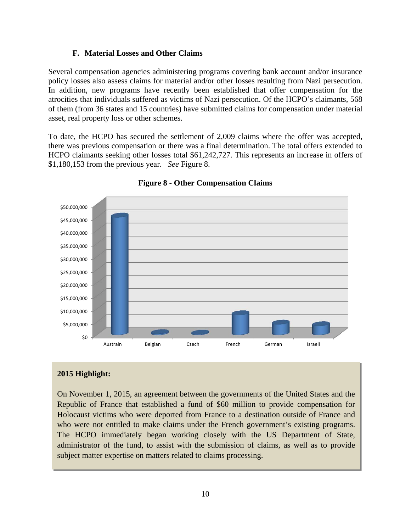### **F. Material Losses and Other Claims**

<span id="page-10-0"></span>Several compensation agencies administering programs covering bank account and/or insurance policy losses also assess claims for material and/or other losses resulting from Nazi persecution. In addition, new programs have recently been established that offer compensation for the atrocities that individuals suffered as victims of Nazi persecution. Of the HCPO's claimants, 568 of them (from 36 states and 15 countries) have submitted claims for compensation under material asset, real property loss or other schemes.

To date, the HCPO has secured the settlement of 2,009 claims where the offer was accepted, there was previous compensation or there was a final determination. The total offers extended to HCPO claimants seeking other losses total \$61,242,727. This represents an increase in offers of \$1,180,153 from the previous year. *See* Figure 8.





## **2015 Highlight:**

On November 1, 2015, an agreement between the governments of the United States and the Republic of France that established a fund of \$60 million to provide compensation for Holocaust victims who were deported from France to a destination outside of France and who were not entitled to make claims under the French government's existing programs. The HCPO immediately began working closely with the US Department of State, administrator of the fund, to assist with the submission of claims, as well as to provide subject matter expertise on matters related to claims processing.